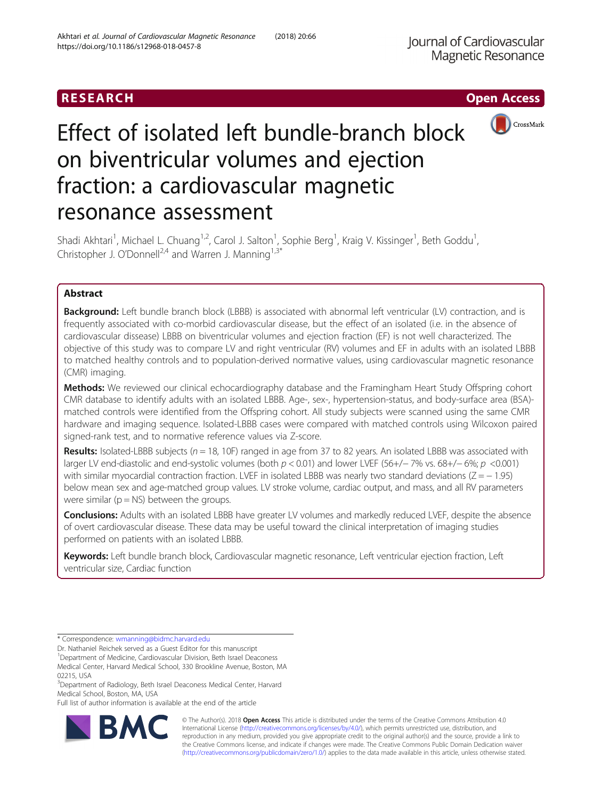

# Effect of isolated left bundle-branch block on biventricular volumes and ejection fraction: a cardiovascular magnetic resonance assessment

Shadi Akhtari<sup>1</sup>, Michael L. Chuang<sup>1,2</sup>, Carol J. Salton<sup>1</sup>, Sophie Berg<sup>1</sup>, Kraig V. Kissinger<sup>1</sup>, Beth Goddu<sup>1</sup> , Christopher J. O'Donnell<sup>2,4</sup> and Warren J. Manning<sup>1,3\*</sup>

# Abstract

**Background:** Left bundle branch block (LBBB) is associated with abnormal left ventricular (LV) contraction, and is frequently associated with co-morbid cardiovascular disease, but the effect of an isolated (i.e. in the absence of cardiovascular dissease) LBBB on biventricular volumes and ejection fraction (EF) is not well characterized. The objective of this study was to compare LV and right ventricular (RV) volumes and EF in adults with an isolated LBBB to matched healthy controls and to population-derived normative values, using cardiovascular magnetic resonance (CMR) imaging.

Methods: We reviewed our clinical echocardiography database and the Framingham Heart Study Offspring cohort CMR database to identify adults with an isolated LBBB. Age-, sex-, hypertension-status, and body-surface area (BSA) matched controls were identified from the Offspring cohort. All study subjects were scanned using the same CMR hardware and imaging sequence. Isolated-LBBB cases were compared with matched controls using Wilcoxon paired signed-rank test, and to normative reference values via Z-score.

Results: Isolated-LBBB subjects ( $n = 18$ , 10F) ranged in age from 37 to 82 years. An isolated LBBB was associated with larger LV end-diastolic and end-systolic volumes (both p < 0.01) and lower LVEF (56+/− 7% vs. 68+/− 6%; p <0.001) with similar myocardial contraction fraction. LVEF in isolated LBBB was nearly two standard deviations (Z = − 1.95) below mean sex and age-matched group values. LV stroke volume, cardiac output, and mass, and all RV parameters were similar ( $p = NS$ ) between the groups.

Conclusions: Adults with an isolated LBBB have greater LV volumes and markedly reduced LVEF, despite the absence of overt cardiovascular disease. These data may be useful toward the clinical interpretation of imaging studies performed on patients with an isolated LBBB.

Keywords: Left bundle branch block, Cardiovascular magnetic resonance, Left ventricular ejection fraction, Left ventricular size, Cardiac function

Full list of author information is available at the end of the article



© The Author(s). 2018 Open Access This article is distributed under the terms of the Creative Commons Attribution 4.0 International License [\(http://creativecommons.org/licenses/by/4.0/](http://creativecommons.org/licenses/by/4.0/)), which permits unrestricted use, distribution, and reproduction in any medium, provided you give appropriate credit to the original author(s) and the source, provide a link to the Creative Commons license, and indicate if changes were made. The Creative Commons Public Domain Dedication waiver [\(http://creativecommons.org/publicdomain/zero/1.0/](http://creativecommons.org/publicdomain/zero/1.0/)) applies to the data made available in this article, unless otherwise stated.

<sup>\*</sup> Correspondence: [wmanning@bidmc.harvard.edu](mailto:wmanning@bidmc.harvard.edu)

Dr. Nathaniel Reichek served as a Guest Editor for this manuscript

<sup>&</sup>lt;sup>1</sup>Department of Medicine, Cardiovascular Division, Beth Israel Deaconess

Medical Center, Harvard Medical School, 330 Brookline Avenue, Boston, MA 02215, USA

<sup>&</sup>lt;sup>3</sup>Department of Radiology, Beth Israel Deaconess Medical Center, Harvard Medical School, Boston, MA, USA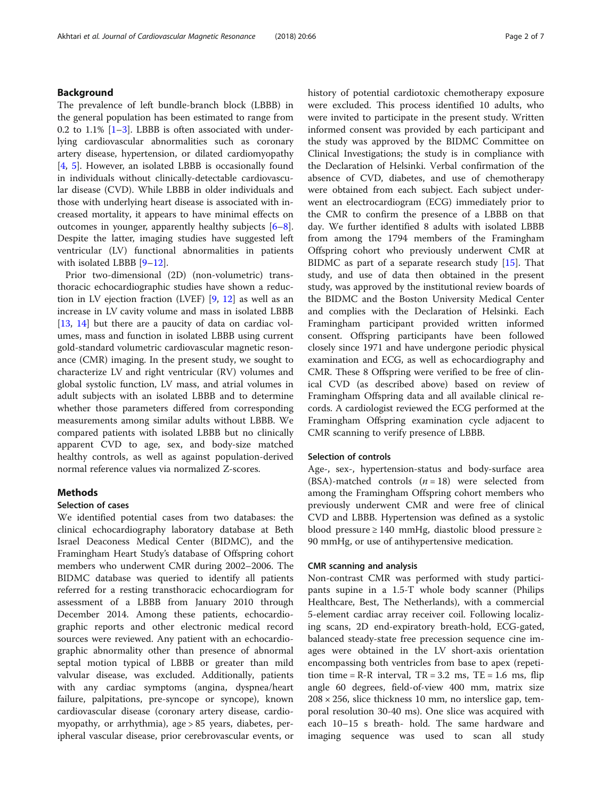# Background

The prevalence of left bundle-branch block (LBBB) in the general population has been estimated to range from 0.2 to 1.1%  $[1-3]$  $[1-3]$  $[1-3]$ . LBBB is often associated with underlying cardiovascular abnormalities such as coronary artery disease, hypertension, or dilated cardiomyopathy [[4,](#page-5-0) [5\]](#page-5-0). However, an isolated LBBB is occasionally found in individuals without clinically-detectable cardiovascular disease (CVD). While LBBB in older individuals and those with underlying heart disease is associated with increased mortality, it appears to have minimal effects on outcomes in younger, apparently healthy subjects [\[6](#page-5-0)–[8](#page-5-0)]. Despite the latter, imaging studies have suggested left ventricular (LV) functional abnormalities in patients with isolated LBBB [[9](#page-6-0)–[12](#page-6-0)].

Prior two-dimensional (2D) (non-volumetric) transthoracic echocardiographic studies have shown a reduction in LV ejection fraction (LVEF) [[9,](#page-6-0) [12](#page-6-0)] as well as an increase in LV cavity volume and mass in isolated LBBB [[13,](#page-6-0) [14\]](#page-6-0) but there are a paucity of data on cardiac volumes, mass and function in isolated LBBB using current gold-standard volumetric cardiovascular magnetic resonance (CMR) imaging. In the present study, we sought to characterize LV and right ventricular (RV) volumes and global systolic function, LV mass, and atrial volumes in adult subjects with an isolated LBBB and to determine whether those parameters differed from corresponding measurements among similar adults without LBBB. We compared patients with isolated LBBB but no clinically apparent CVD to age, sex, and body-size matched healthy controls, as well as against population-derived normal reference values via normalized Z-scores.

# **Methods**

#### Selection of cases

We identified potential cases from two databases: the clinical echocardiography laboratory database at Beth Israel Deaconess Medical Center (BIDMC), and the Framingham Heart Study's database of Offspring cohort members who underwent CMR during 2002–2006. The BIDMC database was queried to identify all patients referred for a resting transthoracic echocardiogram for assessment of a LBBB from January 2010 through December 2014. Among these patients, echocardiographic reports and other electronic medical record sources were reviewed. Any patient with an echocardiographic abnormality other than presence of abnormal septal motion typical of LBBB or greater than mild valvular disease, was excluded. Additionally, patients with any cardiac symptoms (angina, dyspnea/heart failure, palpitations, pre-syncope or syncope), known cardiovascular disease (coronary artery disease, cardiomyopathy, or arrhythmia), age > 85 years, diabetes, peripheral vascular disease, prior cerebrovascular events, or history of potential cardiotoxic chemotherapy exposure were excluded. This process identified 10 adults, who were invited to participate in the present study. Written informed consent was provided by each participant and the study was approved by the BIDMC Committee on Clinical Investigations; the study is in compliance with the Declaration of Helsinki. Verbal confirmation of the absence of CVD, diabetes, and use of chemotherapy were obtained from each subject. Each subject underwent an electrocardiogram (ECG) immediately prior to the CMR to confirm the presence of a LBBB on that day. We further identified 8 adults with isolated LBBB from among the 1794 members of the Framingham Offspring cohort who previously underwent CMR at BIDMC as part of a separate research study [[15\]](#page-6-0). That study, and use of data then obtained in the present study, was approved by the institutional review boards of the BIDMC and the Boston University Medical Center and complies with the Declaration of Helsinki. Each Framingham participant provided written informed consent. Offspring participants have been followed closely since 1971 and have undergone periodic physical examination and ECG, as well as echocardiography and CMR. These 8 Offspring were verified to be free of clinical CVD (as described above) based on review of Framingham Offspring data and all available clinical records. A cardiologist reviewed the ECG performed at the Framingham Offspring examination cycle adjacent to CMR scanning to verify presence of LBBB.

# Selection of controls

Age-, sex-, hypertension-status and body-surface area (BSA)-matched controls  $(n = 18)$  were selected from among the Framingham Offspring cohort members who previously underwent CMR and were free of clinical CVD and LBBB. Hypertension was defined as a systolic blood pressure ≥ 140 mmHg, diastolic blood pressure ≥ 90 mmHg, or use of antihypertensive medication.

#### CMR scanning and analysis

Non-contrast CMR was performed with study participants supine in a 1.5-T whole body scanner (Philips Healthcare, Best, The Netherlands), with a commercial 5-element cardiac array receiver coil. Following localizing scans, 2D end-expiratory breath-hold, ECG-gated, balanced steady-state free precession sequence cine images were obtained in the LV short-axis orientation encompassing both ventricles from base to apex (repetition time =  $R-R$  interval,  $TR = 3.2$  ms,  $TE = 1.6$  ms, flip angle 60 degrees, field-of-view 400 mm, matrix size  $208 \times 256$ , slice thickness 10 mm, no interslice gap, temporal resolution 30-40 ms). One slice was acquired with each 10–15 s breath- hold. The same hardware and imaging sequence was used to scan all study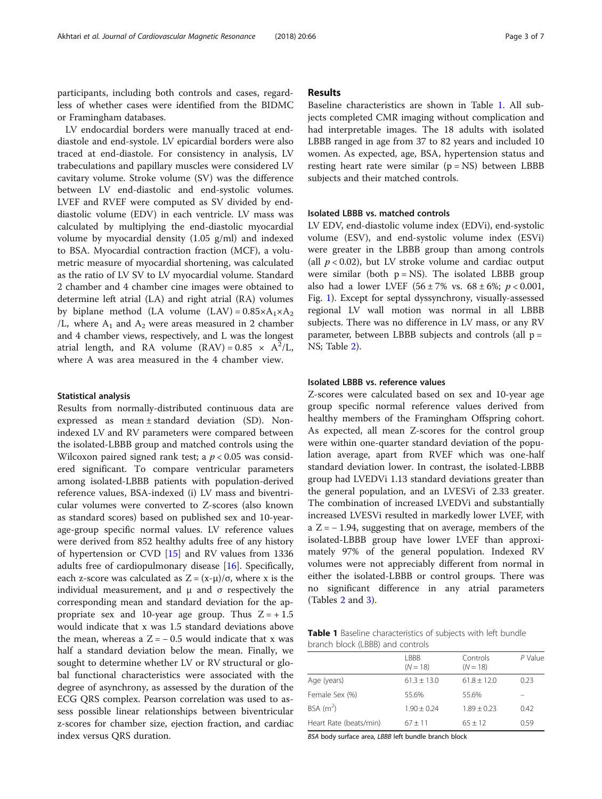participants, including both controls and cases, regardless of whether cases were identified from the BIDMC or Framingham databases.

LV endocardial borders were manually traced at enddiastole and end-systole. LV epicardial borders were also traced at end-diastole. For consistency in analysis, LV trabeculations and papillary muscles were considered LV cavitary volume. Stroke volume (SV) was the difference between LV end-diastolic and end-systolic volumes. LVEF and RVEF were computed as SV divided by enddiastolic volume (EDV) in each ventricle. LV mass was calculated by multiplying the end-diastolic myocardial volume by myocardial density (1.05 g/ml) and indexed to BSA. Myocardial contraction fraction (MCF), a volumetric measure of myocardial shortening, was calculated as the ratio of LV SV to LV myocardial volume. Standard 2 chamber and 4 chamber cine images were obtained to determine left atrial (LA) and right atrial (RA) volumes by biplane method (LA volume  $(LAV) = 0.85 \times A_1 \times A_2$ ) /L, where  $A_1$  and  $A_2$  were areas measured in 2 chamber and 4 chamber views, respectively, and L was the longest atrial length, and RA volume  $(RAV) = 0.85 \times A^2/L$ , where A was area measured in the 4 chamber view.

#### Statistical analysis

Results from normally-distributed continuous data are expressed as mean ± standard deviation (SD). Nonindexed LV and RV parameters were compared between the isolated-LBBB group and matched controls using the Wilcoxon paired signed rank test; a  $p < 0.05$  was considered significant. To compare ventricular parameters among isolated-LBBB patients with population-derived reference values, BSA-indexed (i) LV mass and biventricular volumes were converted to Z-scores (also known as standard scores) based on published sex and 10-yearage-group specific normal values. LV reference values were derived from 852 healthy adults free of any history of hypertension or CVD [\[15](#page-6-0)] and RV values from 1336 adults free of cardiopulmonary disease [\[16](#page-6-0)]. Specifically, each z-score was calculated as  $Z = (x-\mu)/\sigma$ , where x is the individual measurement, and  $\mu$  and  $\sigma$  respectively the corresponding mean and standard deviation for the appropriate sex and 10-year age group. Thus  $Z = +1.5$ would indicate that x was 1.5 standard deviations above the mean, whereas a  $Z = -0.5$  would indicate that x was half a standard deviation below the mean. Finally, we sought to determine whether LV or RV structural or global functional characteristics were associated with the degree of asynchrony, as assessed by the duration of the ECG QRS complex. Pearson correlation was used to assess possible linear relationships between biventricular z-scores for chamber size, ejection fraction, and cardiac index versus QRS duration.

# Results

Baseline characteristics are shown in Table 1. All subjects completed CMR imaging without complication and had interpretable images. The 18 adults with isolated LBBB ranged in age from 37 to 82 years and included 10 women. As expected, age, BSA, hypertension status and resting heart rate were similar  $(p = NS)$  between LBBB subjects and their matched controls.

# Isolated LBBB vs. matched controls

LV EDV, end-diastolic volume index (EDVi), end-systolic volume (ESV), and end-systolic volume index (ESVi) were greater in the LBBB group than among controls (all  $p < 0.02$ ), but LV stroke volume and cardiac output were similar (both  $p = NS$ ). The isolated LBBB group also had a lower LVEF  $(56 \pm 7\% \text{ vs. } 68 \pm 6\%; p < 0.001,$ Fig. [1\)](#page-3-0). Except for septal dyssynchrony, visually-assessed regional LV wall motion was normal in all LBBB subjects. There was no difference in LV mass, or any RV parameter, between LBBB subjects and controls (all p = NS; Table [2](#page-3-0)).

#### Isolated LBBB vs. reference values

Z-scores were calculated based on sex and 10-year age group specific normal reference values derived from healthy members of the Framingham Offspring cohort. As expected, all mean Z-scores for the control group were within one-quarter standard deviation of the population average, apart from RVEF which was one-half standard deviation lower. In contrast, the isolated-LBBB group had LVEDVi 1.13 standard deviations greater than the general population, and an LVESVi of 2.33 greater. The combination of increased LVEDVi and substantially increased LVESVi resulted in markedly lower LVEF, with a Z= − 1.94, suggesting that on average, members of the isolated-LBBB group have lower LVEF than approximately 97% of the general population. Indexed RV volumes were not appreciably different from normal in either the isolated-LBBB or control groups. There was no significant difference in any atrial parameters (Tables [2](#page-3-0) and [3\)](#page-3-0).

Table 1 Baseline characteristics of subjects with left bundle branch block (LBBB) and controls

|                        | I BBB<br>$(N = 18)$ | Controls<br>$(N = 18)$ | P Value |
|------------------------|---------------------|------------------------|---------|
| Age (years)            | $61.3 + 13.0$       | $61.8 + 12.0$          | 0.23    |
| Female Sex (%)         | 55.6%               | 55.6%                  |         |
| BSA $(m^2)$            | $1.90 + 0.24$       | $1.89 + 0.23$          | 0.42    |
| Heart Rate (beats/min) | $67 + 11$           | $65 + 12$              | 0.59    |

BSA body surface area, LBBB left bundle branch block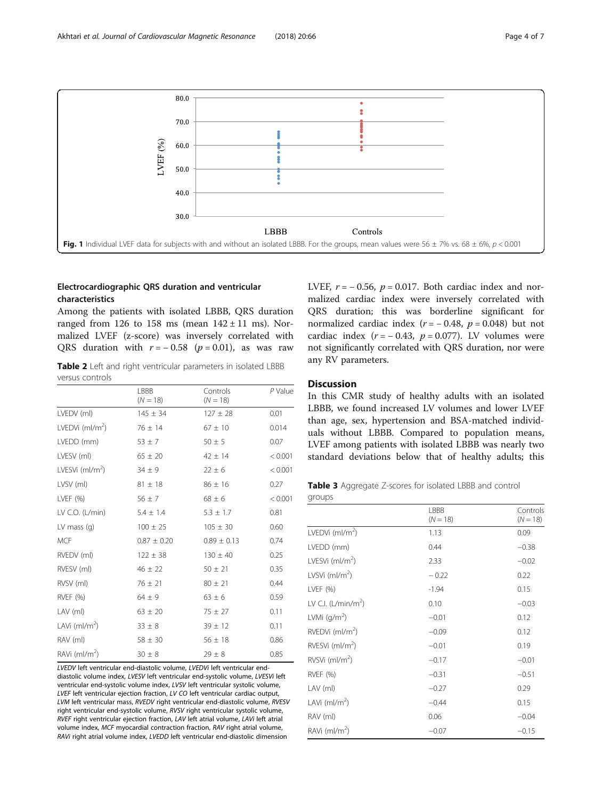<span id="page-3-0"></span>

# Electrocardiographic QRS duration and ventricular characteristics

Among the patients with isolated LBBB, QRS duration ranged from 126 to 158 ms (mean  $142 \pm 11$  ms). Normalized LVEF (z-score) was inversely correlated with QRS duration with  $r = -0.58$  ( $p = 0.01$ ), as was raw

Table 2 Left and right ventricular parameters in isolated LBBB versus controls

|                             | LBBB<br>$(N = 18)$ | Controls<br>$(N = 18)$ | P Value |
|-----------------------------|--------------------|------------------------|---------|
| LVEDV (ml)                  | $145 \pm 34$       | $127 \pm 28$           | 0.01    |
| LVEDVi $(mI/m2)$            | $76 \pm 14$        | $67 \pm 10$            | 0.014   |
| LVEDD (mm)                  | $53 \pm 7$         | $50 \pm 5$             | 0.07    |
| LVESV (ml)                  | $65 \pm 20$        | $42 \pm 14$            | < 0.001 |
| LVESVi (ml/m <sup>2</sup> ) | $34 \pm 9$         | $22 \pm 6$             | < 0.001 |
| LVSV (ml)                   | $81 \pm 18$        | $86 \pm 16$            | 0.27    |
| LVEF $(% )$                 | $56 \pm 7$         | $68 \pm 6$             | < 0.001 |
| LV C.O. $(L/min)$           | $5.4 \pm 1.4$      | $5.3 \pm 1.7$          | 0.81    |
| LV mass $(q)$               | $100 \pm 25$       | $105 \pm 30$           | 0.60    |
| <b>MCF</b>                  | $0.87 \pm 0.20$    | $0.89 \pm 0.13$        | 0.74    |
| RVEDV (ml)                  | $122 \pm 38$       | $130 \pm 40$           | 0.25    |
| RVESV (ml)                  | $46 \pm 22$        | $50 \pm 21$            | 0.35    |
| RVSV (ml)                   | $76 \pm 21$        | $80 \pm 21$            | 0.44    |
| <b>RVEF (%)</b>             | $64 \pm 9$         | $63 \pm 6$             | 0.59    |
| LAV (ml)                    | $63 \pm 20$        | $75 \pm 27$            | 0.11    |
| LAVi (ml/m <sup>2</sup> )   | $33 \pm 8$         | $39 \pm 12$            | 0.11    |
| RAV (ml)                    | $58 \pm 30$        | $56 \pm 18$            | 0.86    |
| $RAVi$ (ml/m <sup>2</sup> ) | $30 \pm 8$         | $29 \pm 8$             | 0.85    |

LVEDV left ventricular end-diastolic volume, LVEDVi left ventricular enddiastolic volume index, LVESV left ventricular end-systolic volume, LVESVi left ventricular end-systolic volume index, LVSV left ventricular systolic volume, LVEF left ventricular ejection fraction, LV CO left ventricular cardiac output, LVM left ventricular mass, RVEDV right ventricular end-diastolic volume, RVESV right ventricular end-systolic volume, RVSV right ventricular systolic volume, RVEF right ventricular ejection fraction, LAV left atrial volume, LAVi left atrial volume index, MCF myocardial contraction fraction, RAV right atrial volume, RAVi right atrial volume index, LVEDD left ventricular end-diastolic dimension

LVEF,  $r = -0.56$ ,  $p = 0.017$ . Both cardiac index and normalized cardiac index were inversely correlated with QRS duration; this was borderline significant for normalized cardiac index ( $r = -0.48$ ,  $p = 0.048$ ) but not cardiac index ( $r = -0.43$ ,  $p = 0.077$ ). LV volumes were not significantly correlated with QRS duration, nor were any RV parameters.

# **Discussion**

In this CMR study of healthy adults with an isolated LBBB, we found increased LV volumes and lower LVEF than age, sex, hypertension and BSA-matched individuals without LBBB. Compared to population means, LVEF among patients with isolated LBBB was nearly two standard deviations below that of healthy adults; this

Table 3 Aggregate Z-scores for isolated LBBB and control groups

|                              | LBBB<br>$(N = 18)$ | Controls<br>$(N = 18)$ |
|------------------------------|--------------------|------------------------|
| LVEDVi $(mI/m2)$             | 1.13               | 0.09                   |
| LVEDD (mm)                   | 0.44               | $-0.38$                |
| LVESVi $(mI/m2)$             | 2.33               | $-0.02$                |
| LVSVi (ml/m <sup>2</sup> )   | $-0.22$            | 0.22                   |
| LVEF (%)                     | $-1.94$            | 0.15                   |
| LV C.I. $(L/min/m2)$         | 0.10               | $-0.03$                |
| LVMi $(g/m^2)$               | $-0.01$            | 0.12                   |
| RVEDVi $(mI/m2)$             | $-0.09$            | 0.12                   |
| RVESVi $(mI/m2)$             | $-0.01$            | 0.19                   |
| $RVSVi$ (ml/m <sup>2</sup> ) | $-0.17$            | $-0.01$                |
| <b>RVEF (%)</b>              | $-0.31$            | $-0.51$                |
| LAV (ml)                     | $-0.27$            | 0.29                   |
| LAVi (ml/m <sup>2</sup> )    | $-0.44$            | 0.15                   |
| RAV (ml)                     | 0.06               | $-0.04$                |
| RAVi $(mI/m2)$               | $-0.07$            | $-0.15$                |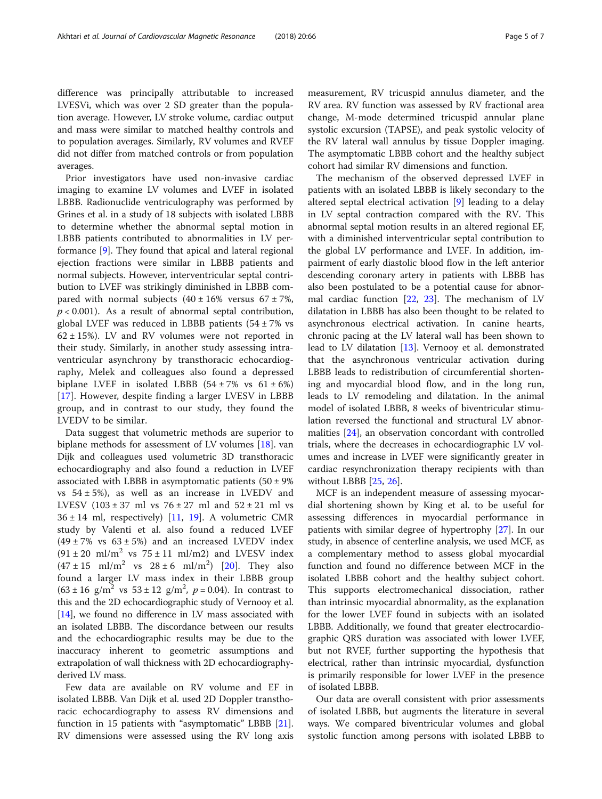difference was principally attributable to increased LVESVi, which was over 2 SD greater than the population average. However, LV stroke volume, cardiac output and mass were similar to matched healthy controls and to population averages. Similarly, RV volumes and RVEF did not differ from matched controls or from population averages.

Prior investigators have used non-invasive cardiac imaging to examine LV volumes and LVEF in isolated LBBB. Radionuclide ventriculography was performed by Grines et al. in a study of 18 subjects with isolated LBBB to determine whether the abnormal septal motion in LBBB patients contributed to abnormalities in LV performance [\[9](#page-6-0)]. They found that apical and lateral regional ejection fractions were similar in LBBB patients and normal subjects. However, interventricular septal contribution to LVEF was strikingly diminished in LBBB compared with normal subjects  $(40 \pm 16\% \text{ versus } 67 \pm 7\%$ ,  $p < 0.001$ ). As a result of abnormal septal contribution, global LVEF was reduced in LBBB patients  $(54 \pm 7\% \text{ vs }$  $62 \pm 15$ %). LV and RV volumes were not reported in their study. Similarly, in another study assessing intraventricular asynchrony by transthoracic echocardiography, Melek and colleagues also found a depressed biplane LVEF in isolated LBBB  $(54 \pm 7\% \text{ vs } 61 \pm 6\%)$ [[17\]](#page-6-0). However, despite finding a larger LVESV in LBBB group, and in contrast to our study, they found the LVEDV to be similar.

Data suggest that volumetric methods are superior to biplane methods for assessment of LV volumes [[18\]](#page-6-0). van Dijk and colleagues used volumetric 3D transthoracic echocardiography and also found a reduction in LVEF associated with LBBB in asymptomatic patients  $(50 \pm 9\%)$ vs  $54 \pm 5\%$ ), as well as an increase in LVEDV and LVESV  $(103 \pm 37 \text{ ml vs } 76 \pm 27 \text{ ml and } 52 \pm 21 \text{ ml vs }$  $36 \pm 14$  ml, respectively) [[11,](#page-6-0) [19\]](#page-6-0). A volumetric CMR study by Valenti et al. also found a reduced LVEF  $(49 \pm 7\%$  vs  $63 \pm 5\%)$  and an increased LVEDV index  $(91 \pm 20 \text{ ml/m}^2 \text{ vs } 75 \pm 11 \text{ ml/m}^2)$  and LVESV index  $(47 \pm 15 \text{ ml/m}^2 \text{ vs } 28 \pm 6 \text{ ml/m}^2)$  [\[20](#page-6-0)]. They also found a larger LV mass index in their LBBB group  $(63 \pm 16 \text{ g/m}^2 \text{ vs } 53 \pm 12 \text{ g/m}^2, p = 0.04)$ . In contrast to this and the 2D echocardiographic study of Vernooy et al. [[14](#page-6-0)], we found no difference in LV mass associated with an isolated LBBB. The discordance between our results and the echocardiographic results may be due to the inaccuracy inherent to geometric assumptions and extrapolation of wall thickness with 2D echocardiographyderived LV mass.

Few data are available on RV volume and EF in isolated LBBB. Van Dijk et al. used 2D Doppler transthoracic echocardiography to assess RV dimensions and function in 15 patients with "asymptomatic" LBBB [\[21](#page-6-0)]. RV dimensions were assessed using the RV long axis

measurement, RV tricuspid annulus diameter, and the RV area. RV function was assessed by RV fractional area change, M-mode determined tricuspid annular plane systolic excursion (TAPSE), and peak systolic velocity of the RV lateral wall annulus by tissue Doppler imaging. The asymptomatic LBBB cohort and the healthy subject cohort had similar RV dimensions and function.

The mechanism of the observed depressed LVEF in patients with an isolated LBBB is likely secondary to the altered septal electrical activation [[9](#page-6-0)] leading to a delay in LV septal contraction compared with the RV. This abnormal septal motion results in an altered regional EF, with a diminished interventricular septal contribution to the global LV performance and LVEF. In addition, impairment of early diastolic blood flow in the left anterior descending coronary artery in patients with LBBB has also been postulated to be a potential cause for abnormal cardiac function [\[22](#page-6-0), [23](#page-6-0)]. The mechanism of LV dilatation in LBBB has also been thought to be related to asynchronous electrical activation. In canine hearts, chronic pacing at the LV lateral wall has been shown to lead to LV dilatation [\[13](#page-6-0)]. Vernooy et al. demonstrated that the asynchronous ventricular activation during LBBB leads to redistribution of circumferential shortening and myocardial blood flow, and in the long run, leads to LV remodeling and dilatation. In the animal model of isolated LBBB, 8 weeks of biventricular stimulation reversed the functional and structural LV abnormalities [[24\]](#page-6-0), an observation concordant with controlled trials, where the decreases in echocardiographic LV volumes and increase in LVEF were significantly greater in cardiac resynchronization therapy recipients with than without LBBB [\[25](#page-6-0), [26\]](#page-6-0).

MCF is an independent measure of assessing myocardial shortening shown by King et al. to be useful for assessing differences in myocardial performance in patients with similar degree of hypertrophy [\[27\]](#page-6-0). In our study, in absence of centerline analysis, we used MCF, as a complementary method to assess global myocardial function and found no difference between MCF in the isolated LBBB cohort and the healthy subject cohort. This supports electromechanical dissociation, rather than intrinsic myocardial abnormality, as the explanation for the lower LVEF found in subjects with an isolated LBBB. Additionally, we found that greater electrocardiographic QRS duration was associated with lower LVEF, but not RVEF, further supporting the hypothesis that electrical, rather than intrinsic myocardial, dysfunction is primarily responsible for lower LVEF in the presence of isolated LBBB.

Our data are overall consistent with prior assessments of isolated LBBB, but augments the literature in several ways. We compared biventricular volumes and global systolic function among persons with isolated LBBB to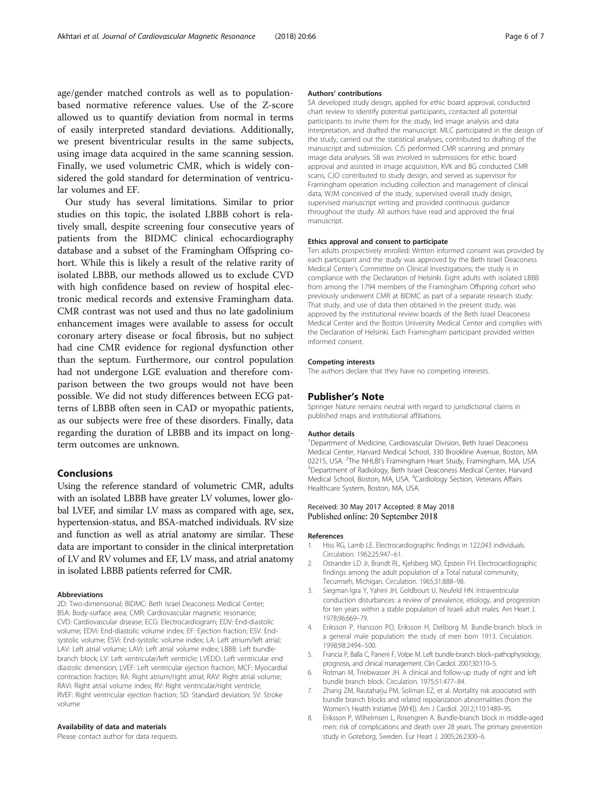<span id="page-5-0"></span>age/gender matched controls as well as to populationbased normative reference values. Use of the Z-score allowed us to quantify deviation from normal in terms of easily interpreted standard deviations. Additionally, we present biventricular results in the same subjects, using image data acquired in the same scanning session. Finally, we used volumetric CMR, which is widely considered the gold standard for determination of ventricular volumes and EF.

Our study has several limitations. Similar to prior studies on this topic, the isolated LBBB cohort is relatively small, despite screening four consecutive years of patients from the BIDMC clinical echocardiography database and a subset of the Framingham Offspring cohort. While this is likely a result of the relative rarity of isolated LBBB, our methods allowed us to exclude CVD with high confidence based on review of hospital electronic medical records and extensive Framingham data. CMR contrast was not used and thus no late gadolinium enhancement images were available to assess for occult coronary artery disease or focal fibrosis, but no subject had cine CMR evidence for regional dysfunction other than the septum. Furthermore, our control population had not undergone LGE evaluation and therefore comparison between the two groups would not have been possible. We did not study differences between ECG patterns of LBBB often seen in CAD or myopathic patients, as our subjects were free of these disorders. Finally, data regarding the duration of LBBB and its impact on longterm outcomes are unknown.

# Conclusions

Using the reference standard of volumetric CMR, adults with an isolated LBBB have greater LV volumes, lower global LVEF, and similar LV mass as compared with age, sex, hypertension-status, and BSA-matched individuals. RV size and function as well as atrial anatomy are similar. These data are important to consider in the clinical interpretation of LV and RV volumes and EF, LV mass, and atrial anatomy in isolated LBBB patients referred for CMR.

#### Abbreviations

2D: Two-dimensional; BIDMC: Beth Israel Deaconess Medical Center; BSA: Body-surface area; CMR: Cardiovascular magnetic resonance; CVD: Cardiovascular disease; ECG: Electrocardiogram; EDV: End-diastolic volume; EDVi: End-diastolic volume index; EF: Ejection fraction; ESV: Endsystolic volume; ESVi: End-systolic volume index; LA: Left atrium/left atrial; LAV: Left atrial volume; LAVi: Left atrial volume index; LBBB: Left bundlebranch block; LV: Left ventricular/left ventricle; LVEDD: Left ventricular end diastolic dimension; LVEF: Left ventricular ejection fraction; MCF: Myocardial contraction fraction; RA: Right atrium/right atrial; RAV: Right atrial volume; RAVi: Right atrial volume index; RV: Right ventricular/right ventricle; RVEF: Right ventricular ejection fraction; SD: Standard deviation; SV: Stroke volume

# Availability of data and materials

Please contact author for data requests.

#### Authors' contributions

SA developed study design, applied for ethic board approval, conducted chart review to identify potential participants, contacted all potential participants to invite them for the study, led image analysis and data interpretation, and drafted the manuscript. MLC participated in the design of the study, carried out the statistical analyses, contributed to drafting of the manuscript and submission. CJS performed CMR scanning and primary image data analyses. SB was involved in submissions for ethic board approval and assisted in image acquisition, KVK and BG conducted CMR scans, CJO contributed to study design, and served as supervisor for Framingham operation including collection and management of clinical data, WJM conceived of the study, supervised overall study design, supervised manuscript writing and provided continuous guidance throughout the study. All authors have read and approved the final manuscript.

#### Ethics approval and consent to participate

Ten adults prospectively enrolled: Written informed consent was provided by each participant and the study was approved by the Beth Israel Deaconess Medical Center's Committee on Clinical Investigations; the study is in compliance with the Declaration of Helsinki. Eight adults with isolated LBBB from among the 1794 members of the Framingham Offspring cohort who previously underwent CMR at BIDMC as part of a separate research study: That study, and use of data then obtained in the present study, was approved by the institutional review boards of the Beth Israel Deaconess Medical Center and the Boston University Medical Center and complies with the Declaration of Helsinki. Each Framingham participant provided written informed consent.

#### Competing interests

The authors declare that they have no competing interests.

### Publisher's Note

Springer Nature remains neutral with regard to jurisdictional claims in published maps and institutional affiliations.

#### Author details

<sup>1</sup>Department of Medicine, Cardiovascular Division, Beth Israel Deaconess Medical Center, Harvard Medical School, 330 Brookline Avenue, Boston, MA 02215, USA. <sup>2</sup>The NHLBI's Framingham Heart Study, Framingham, MA, USA.<br><sup>3</sup>Dopartment of Padiology, Bath Israel Deasoness Medical Conter, Hangred. <sup>3</sup> Department of Radiology, Beth Israel Deaconess Medical Center, Harvard Medical School, Boston, MA, USA. <sup>4</sup>Cardiology Section, Veterans Affairs Healthcare System, Boston, MA, USA.

#### Received: 30 May 2017 Accepted: 8 May 2018 Published online: 20 September 2018

#### References

- 1. Hiss RG, Lamb LE. Electrocardiographic findings in 122,043 individuals. Circulation. 1962;25:947–61.
- 2. Ostrander LD Jr, Brandt RL, Kjelsberg MO, Epstein FH. Electrocardiographic findings among the adult population of a Total natural community, Tecumseh, Michigan. Circulation. 1965;31:888–98.
- 3. Siegman-Igra Y, Yahini JH, Goldbourt U, Neufeld HN. Intraventricular conduction disturbances: a review of prevalence, etiology, and progression for ten years within a stable population of Israeli adult males. Am Heart J. 1978;96:669–79.
- 4. Eriksson P, Hansson PO, Eriksson H, Dellborg M. Bundle-branch block in a general male population: the study of men born 1913. Circulation. 1998;98:2494–500.
- 5. Francia P, Balla C, Paneni F, Volpe M. Left bundle-branch block–pathophysiology, prognosis, and clinical management. Clin Cardiol. 2007;30:110–5.
- 6. Rotman M, Triebwasser JH. A clinical and follow-up study of right and left bundle branch block. Circulation. 1975;51:477–84.
- 7. Zhang ZM, Rautaharju PM, Soliman EZ, et al. Mortality risk associated with bundle branch blocks and related repolarization abnormalities (from the Women's Health Initiative [WHI]). Am J Cardiol. 2012;110:1489–95.
- 8. Eriksson P, Wilhelmsen L, Rosengren A. Bundle-branch block in middle-aged men: risk of complications and death over 28 years. The primary prevention study in Goteborg, Sweden. Eur Heart J. 2005;26:2300–6.